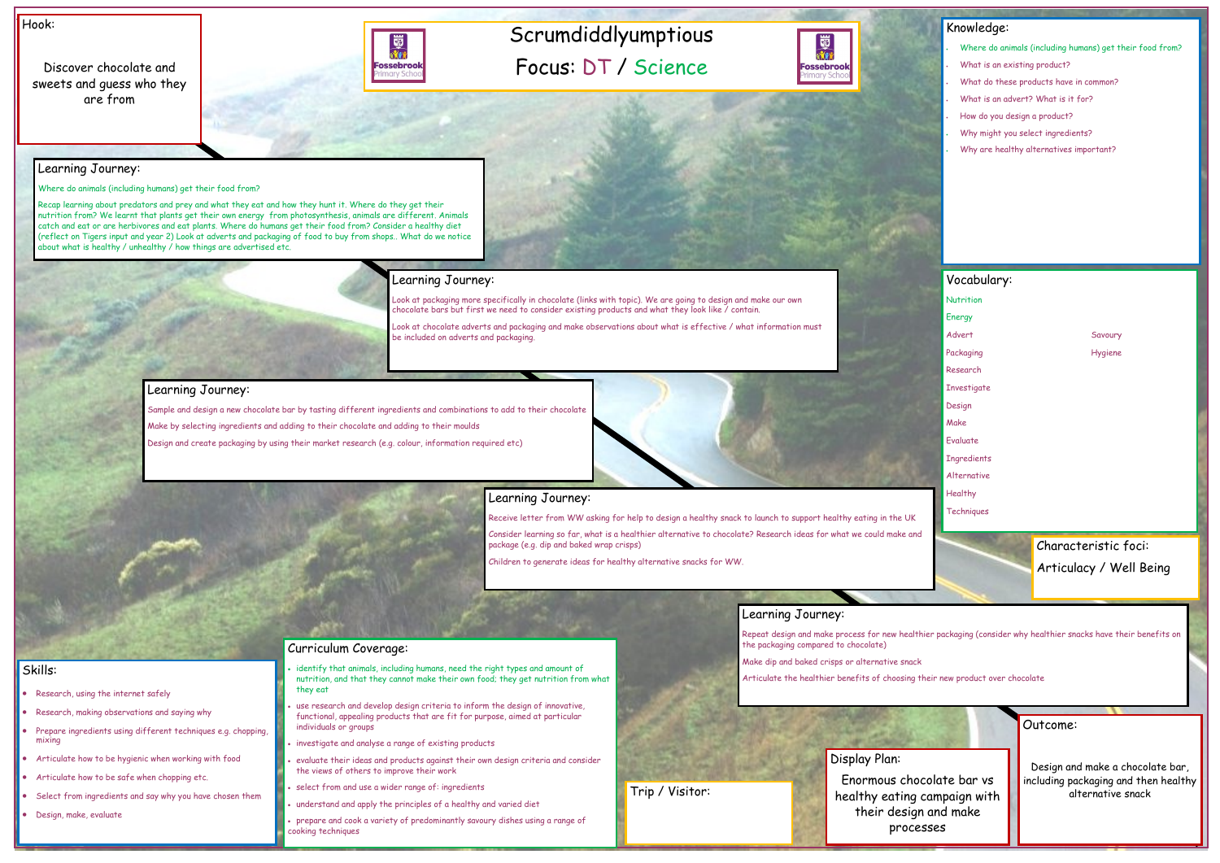# Scrumdiddlyumptious Focus: DT / Science



Hook:

Discover chocolate and sweets and guess who they are from



Outcome:

Design and make a chocolate bar, including packaging and then healthy alternative snack

- Research, using the internet safely
- Research, making observations and saying why
- Prepare ingredients using different techniques e.g. chopping, mixing
- Articulate how to be hygienic when working with food
- Articulate how to be safe when chopping etc.
- Select from ingredients and say why you have chosen them
- Design, make, evaluate

#### Skills:

### Learning Journey:

Where do animals (including humans) get their food from?

Recap learning about predators and prey and what they eat and how they hunt it. Where do they get their nutrition from? We learnt that plants get their own energy from photosynthesis, animals are different. Animals catch and eat or are herbivores and eat plants. Where do humans get their food from? Consider a healthy diet (reflect on Tigers input and year 2) Look at adverts and packaging of food to buy from shops.. What do we notice about what is healthy / unhealthy / how things are advertised etc.

### Learning Journey:

Look at packaging more specifically in chocolate (links with topic). We are going to design and make our own chocolate bars but first we need to consider existing products and what they look like / contain.

Look at chocolate adverts and packaging and make observations about what is effective / what information must be included on adverts and packaging.

- identify that animals, including humans, need the right types and amount of nutrition, and that they cannot make their own food; they get nutrition from what they eat
- use research and develop design criteria to inform the design of innovative, functional, appealing products that are fit for purpose, aimed at particular individuals or groups
- investigate and analyse a range of existing products
- evaluate their ideas and products against their own design criteria and consider the views of others to improve their work
- select from and use a wider range of: ingredients
- understand and apply the principles of a healthy and varied diet
- prepare and cook a variety of predominantly savoury dishes using a range of cooking techniques

### Learning Journey:

Sample and design a new chocolate bar by tasting different ingredients and combinations to add to their chocolate

Make by selecting ingredients and adding to their chocolate and adding to their moulds

| Knowledge:                                               |
|----------------------------------------------------------|
| Where do animals (including humans) get their food from? |
| What is an existing product?                             |
| What do these products have in common?                   |
| What is an advert? What is it for?                       |
| How do you design a product?<br>÷                        |
| Why might you select ingredients?                        |
| Why are healthy alternatives important?                  |
|                                                          |
|                                                          |
|                                                          |
|                                                          |
|                                                          |
|                                                          |
| Vocabulary:                                              |
| <b>Nutrition</b>                                         |
| Energy                                                   |
| Advert<br>Savoury                                        |
| Packaging<br>Hygiene                                     |
| Research                                                 |
| <b>Investigate</b>                                       |
| Design                                                   |
| Make                                                     |
| Evaluate                                                 |
| <b>Ingredients</b>                                       |
| Alternative                                              |
| <b>Healthy</b>                                           |
| Techniques                                               |
|                                                          |
| Characteristic foci:                                     |
|                                                          |
| Articulacy / Well Being                                  |

Design and create packaging by using their market research (e.g. colour, information required etc)

## Learning Journey:

Receive letter from WW asking for help to design a healthy snack to launch to support healthy eating in the UK

Consider learning so far, what is a healthier alternative to chocolate? Research ideas for what we could make and package (e.g. dip and baked wrap crisps)

Children to generate ideas for healthy alternative snacks for WW.

#### Learning Journey:

Repeat design and make process for new healthier packaging (consider why healthier snacks have their benefits on the packaging compared to chocolate) Make dip and baked crisps or alternative snack Articulate the healthier benefits of choosing their new product over chocolate

## Curriculum Coverage:

Enormous chocolate bar vs healthy eating campaign with their design and make processes



Display Plan: